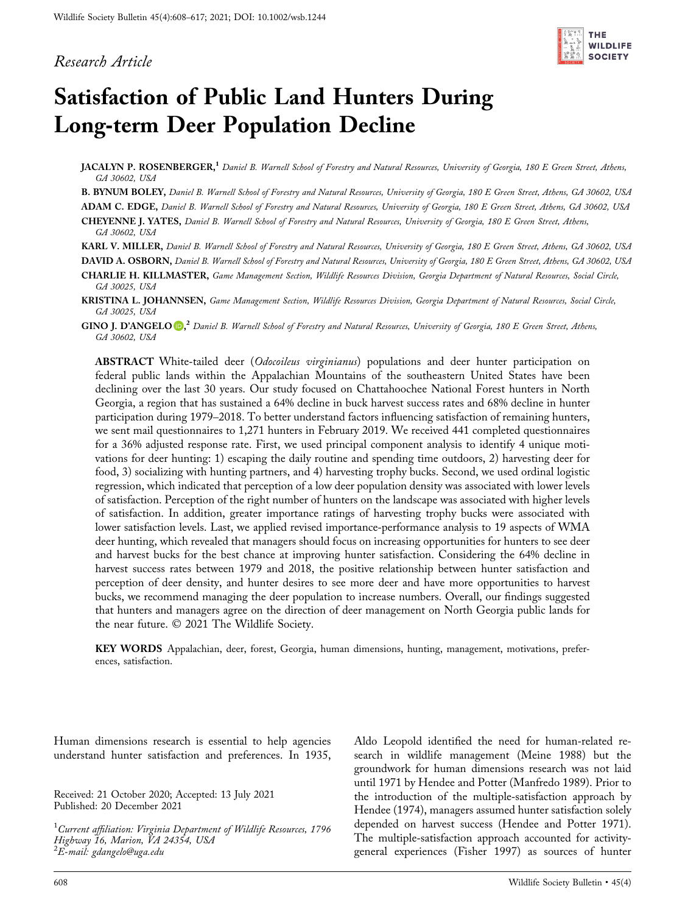### Research Article



# Satisfaction of Public Land Hunters During Long‐term Deer Population Decline

JACALYN P. ROSENBERGER,<sup>1</sup> Daniel B. Warnell School of Forestry and Natural Resources, University of Georgia, 180 E Green Street, Athens, GA 30602, USA

B. BYNUM BOLEY, Daniel B. Warnell School of Forestry and Natural Resources, University of Georgia, 180 E Green Street, Athens, GA 30602, USA

ADAM C. EDGE, Daniel B. Warnell School of Forestry and Natural Resources, University of Georgia, 180 E Green Street, Athens, GA 30602, USA CHEYENNE J. YATES, Daniel B. Warnell School of Forestry and Natural Resources, University of Georgia, 180 E Green Street, Athens,

GA 30602, USA

KARL V. MILLER, Daniel B. Warnell School of Forestry and Natural Resources, University of Georgia, 180 E Green Street, Athens, GA 30602, USA

DAVID A. OSBORN, Daniel B. Warnell School of Forestry and Natural Resources, University of Georgia, 180 E Green Street, Athens, GA 30602, USA

CHARLIE H. KILLMASTER, Game Management Section, Wildlife Resources Division, Georgia Department of Natural Resources, Social Circle, GA 30025, USA

KRISTINA L. JOHANNSEN, Game Management Section, Wildlife Resources Division, Georgia Department of Natural Resources, Social Circle, GA 30025, USA

GIN[O](http://orcid.org/0000-0001-7440-4794) J. D'ANGELO O,<sup>2</sup> Daniel B. Warnell School of Forestry and Natural Resources, University of Georgia, 180 E Green Street, Athens, GA 30602, USA

ABSTRACT White-tailed deer (Odocoileus virginianus) populations and deer hunter participation on federal public lands within the Appalachian Mountains of the southeastern United States have been declining over the last 30 years. Our study focused on Chattahoochee National Forest hunters in North Georgia, a region that has sustained a 64% decline in buck harvest success rates and 68% decline in hunter participation during 1979–2018. To better understand factors influencing satisfaction of remaining hunters, we sent mail questionnaires to 1,271 hunters in February 2019. We received 441 completed questionnaires for a 36% adjusted response rate. First, we used principal component analysis to identify 4 unique motivations for deer hunting: 1) escaping the daily routine and spending time outdoors, 2) harvesting deer for food, 3) socializing with hunting partners, and 4) harvesting trophy bucks. Second, we used ordinal logistic regression, which indicated that perception of a low deer population density was associated with lower levels of satisfaction. Perception of the right number of hunters on the landscape was associated with higher levels of satisfaction. In addition, greater importance ratings of harvesting trophy bucks were associated with lower satisfaction levels. Last, we applied revised importance-performance analysis to 19 aspects of WMA deer hunting, which revealed that managers should focus on increasing opportunities for hunters to see deer and harvest bucks for the best chance at improving hunter satisfaction. Considering the 64% decline in harvest success rates between 1979 and 2018, the positive relationship between hunter satisfaction and perception of deer density, and hunter desires to see more deer and have more opportunities to harvest bucks, we recommend managing the deer population to increase numbers. Overall, our findings suggested that hunters and managers agree on the direction of deer management on North Georgia public lands for the near future. © 2021 The Wildlife Society.

KEY WORDS Appalachian, deer, forest, Georgia, human dimensions, hunting, management, motivations, preferences, satisfaction.

Human dimensions research is essential to help agencies understand hunter satisfaction and preferences. In 1935,

Received: 21 October 2020; Accepted: 13 July 2021 Published: 20 December 2021

 $^1$ Current affiliation: Virginia Department of Wildlife Resources, 1796 Highway 16, Marion, VA 24354, USA <sup>2</sup>E-mail: [gdangelo@uga.edu](mailto:gdangelo@uga.edu)

Aldo Leopold identified the need for human‐related research in wildlife management (Meine 1988) but the groundwork for human dimensions research was not laid until 1971 by Hendee and Potter (Manfredo 1989). Prior to the introduction of the multiple‐satisfaction approach by Hendee (1974), managers assumed hunter satisfaction solely depended on harvest success (Hendee and Potter 1971). The multiple-satisfaction approach accounted for activitygeneral experiences (Fisher 1997) as sources of hunter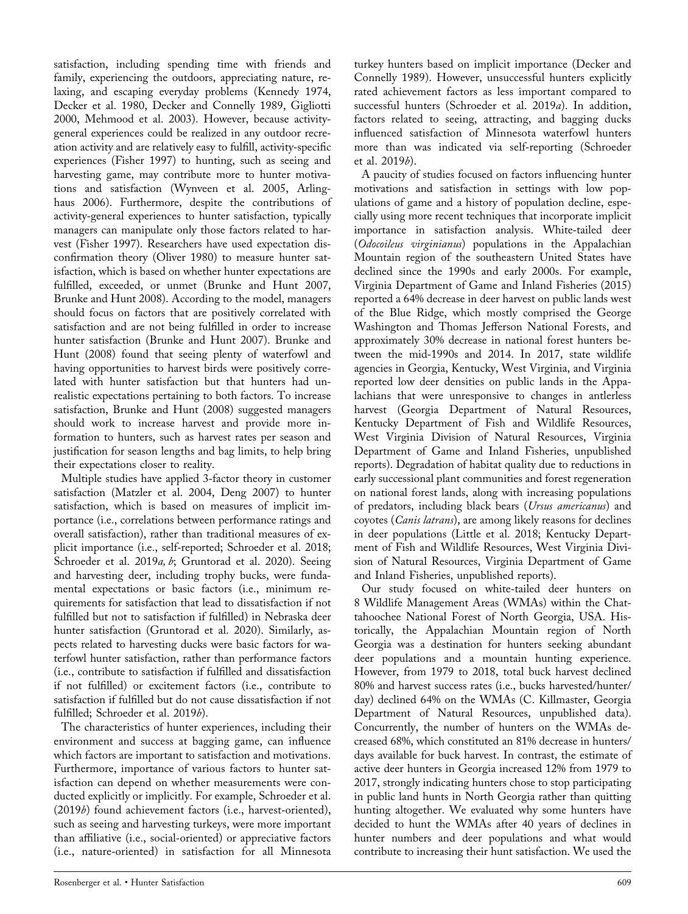satisfaction, including spending time with friends and family, experiencing the outdoors, appreciating nature, relaxing, and escaping everyday problems (Kennedy 1974, Decker et al. 1980, Decker and Connelly 1989, Gigliotti 2000, Mehmood et al. 2003). However, because activity‐ general experiences could be realized in any outdoor recreation activity and are relatively easy to fulfill, activity‐specific experiences (Fisher 1997) to hunting, such as seeing and harvesting game, may contribute more to hunter motivations and satisfaction (Wynveen et al. 2005, Arlinghaus 2006). Furthermore, despite the contributions of activity‐general experiences to hunter satisfaction, typically managers can manipulate only those factors related to harvest (Fisher 1997). Researchers have used expectation disconfirmation theory (Oliver 1980) to measure hunter satisfaction, which is based on whether hunter expectations are fulfilled, exceeded, or unmet (Brunke and Hunt 2007, Brunke and Hunt 2008). According to the model, managers should focus on factors that are positively correlated with satisfaction and are not being fulfilled in order to increase hunter satisfaction (Brunke and Hunt 2007). Brunke and Hunt (2008) found that seeing plenty of waterfowl and having opportunities to harvest birds were positively correlated with hunter satisfaction but that hunters had unrealistic expectations pertaining to both factors. To increase satisfaction, Brunke and Hunt (2008) suggested managers should work to increase harvest and provide more information to hunters, such as harvest rates per season and justification for season lengths and bag limits, to help bring their expectations closer to reality.

Multiple studies have applied 3‐factor theory in customer satisfaction (Matzler et al. 2004, Deng 2007) to hunter satisfaction, which is based on measures of implicit importance (i.e., correlations between performance ratings and overall satisfaction), rather than traditional measures of explicit importance (i.e., self‐reported; Schroeder et al. 2018; Schroeder et al. 2019a, b; Gruntorad et al. 2020). Seeing and harvesting deer, including trophy bucks, were fundamental expectations or basic factors (i.e., minimum requirements for satisfaction that lead to dissatisfaction if not fulfilled but not to satisfaction if fulfilled) in Nebraska deer hunter satisfaction (Gruntorad et al. 2020). Similarly, aspects related to harvesting ducks were basic factors for waterfowl hunter satisfaction, rather than performance factors (i.e., contribute to satisfaction if fulfilled and dissatisfaction if not fulfilled) or excitement factors (i.e., contribute to satisfaction if fulfilled but do not cause dissatisfaction if not fulfilled; Schroeder et al. 2019b).

The characteristics of hunter experiences, including their environment and success at bagging game, can influence which factors are important to satisfaction and motivations. Furthermore, importance of various factors to hunter satisfaction can depend on whether measurements were conducted explicitly or implicitly. For example, Schroeder et al. (2019b) found achievement factors (i.e., harvest‐oriented), such as seeing and harvesting turkeys, were more important than affiliative (i.e., social‐oriented) or appreciative factors (i.e., nature‐oriented) in satisfaction for all Minnesota

A paucity of studies focused on factors influencing hunter motivations and satisfaction in settings with low populations of game and a history of population decline, especially using more recent techniques that incorporate implicit importance in satisfaction analysis. White-tailed deer (Odocoileus virginianus) populations in the Appalachian Mountain region of the southeastern United States have declined since the 1990s and early 2000s. For example, Virginia Department of Game and Inland Fisheries (2015) reported a 64% decrease in deer harvest on public lands west of the Blue Ridge, which mostly comprised the George Washington and Thomas Jefferson National Forests, and approximately 30% decrease in national forest hunters between the mid‐1990s and 2014. In 2017, state wildlife agencies in Georgia, Kentucky, West Virginia, and Virginia reported low deer densities on public lands in the Appalachians that were unresponsive to changes in antlerless harvest (Georgia Department of Natural Resources, Kentucky Department of Fish and Wildlife Resources, West Virginia Division of Natural Resources, Virginia Department of Game and Inland Fisheries, unpublished reports). Degradation of habitat quality due to reductions in early successional plant communities and forest regeneration on national forest lands, along with increasing populations of predators, including black bears (Ursus americanus) and coyotes (Canis latrans), are among likely reasons for declines in deer populations (Little et al. 2018; Kentucky Department of Fish and Wildlife Resources, West Virginia Division of Natural Resources, Virginia Department of Game and Inland Fisheries, unpublished reports).

Our study focused on white-tailed deer hunters on 8 Wildlife Management Areas (WMAs) within the Chattahoochee National Forest of North Georgia, USA. Historically, the Appalachian Mountain region of North Georgia was a destination for hunters seeking abundant deer populations and a mountain hunting experience. However, from 1979 to 2018, total buck harvest declined 80% and harvest success rates (i.e., bucks harvested/hunter/ day) declined 64% on the WMAs (C. Killmaster, Georgia Department of Natural Resources, unpublished data). Concurrently, the number of hunters on the WMAs decreased 68%, which constituted an 81% decrease in hunters/ days available for buck harvest. In contrast, the estimate of active deer hunters in Georgia increased 12% from 1979 to 2017, strongly indicating hunters chose to stop participating in public land hunts in North Georgia rather than quitting hunting altogether. We evaluated why some hunters have decided to hunt the WMAs after 40 years of declines in hunter numbers and deer populations and what would contribute to increasing their hunt satisfaction. We used the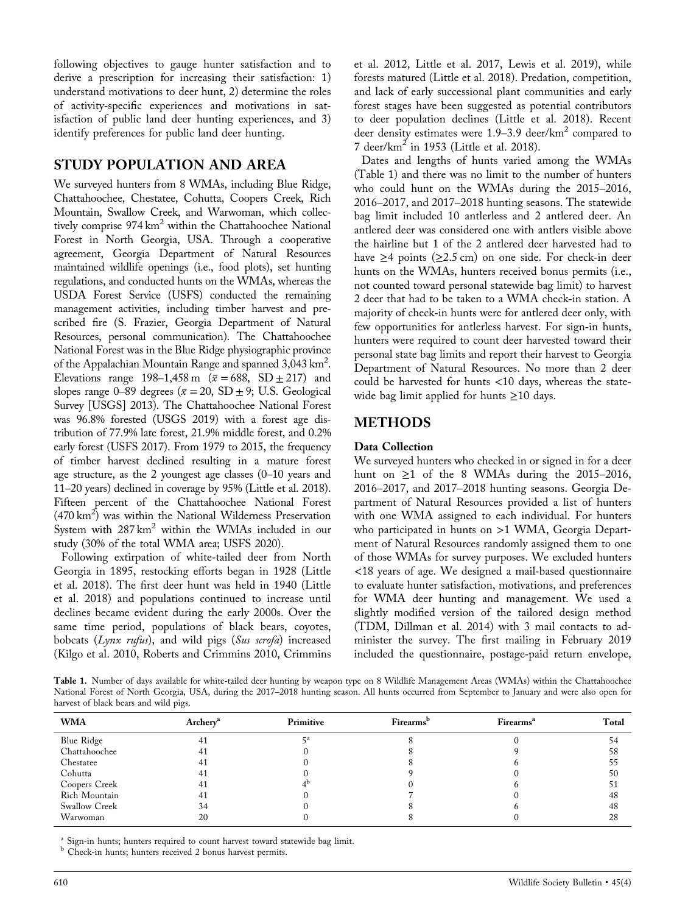following objectives to gauge hunter satisfaction and to derive a prescription for increasing their satisfaction: 1) understand motivations to deer hunt, 2) determine the roles of activity‐specific experiences and motivations in satisfaction of public land deer hunting experiences, and 3) identify preferences for public land deer hunting.

### STUDY POPULATION AND AREA

We surveyed hunters from 8 WMAs, including Blue Ridge, Chattahoochee, Chestatee, Cohutta, Coopers Creek, Rich Mountain, Swallow Creek, and Warwoman, which collectively comprise 974 km<sup>2</sup> within the Chattahoochee National Forest in North Georgia, USA. Through a cooperative agreement, Georgia Department of Natural Resources maintained wildlife openings (i.e., food plots), set hunting regulations, and conducted hunts on the WMAs, whereas the USDA Forest Service (USFS) conducted the remaining management activities, including timber harvest and prescribed fire (S. Frazier, Georgia Department of Natural Resources, personal communication). The Chattahoochee National Forest was in the Blue Ridge physiographic province of the Appalachian Mountain Range and spanned 3,043 km<sup>2</sup>. Elevations range 198–1,458 m ( $\bar{x}$  = 688, SD ± 217) and slopes range 0–89 degrees ( $\bar{x}$  = 20, SD  $\pm$  9; U.S. Geological Survey [USGS] 2013). The Chattahoochee National Forest was 96.8% forested (USGS 2019) with a forest age distribution of 77.9% late forest, 21.9% middle forest, and 0.2% early forest (USFS 2017). From 1979 to 2015, the frequency of timber harvest declined resulting in a mature forest age structure, as the 2 youngest age classes (0–10 years and 11–20 years) declined in coverage by 95% (Little et al. 2018). Fifteen percent of the Chattahoochee National Forest (470 km<sup>2</sup>) was within the National Wilderness Preservation System with  $287 \text{ km}^2$  within the WMAs included in our study (30% of the total WMA area; USFS 2020).

Following extirpation of white-tailed deer from North Georgia in 1895, restocking efforts began in 1928 (Little et al. 2018). The first deer hunt was held in 1940 (Little et al. 2018) and populations continued to increase until declines became evident during the early 2000s. Over the same time period, populations of black bears, coyotes, bobcats (Lynx rufus), and wild pigs (Sus scrofa) increased (Kilgo et al. 2010, Roberts and Crimmins 2010, Crimmins

et al. 2012, Little et al. 2017, Lewis et al. 2019), while forests matured (Little et al. 2018). Predation, competition, and lack of early successional plant communities and early forest stages have been suggested as potential contributors to deer population declines (Little et al. 2018). Recent deer density estimates were  $1.9-3.9$  deer/km<sup>2</sup> compared to 7 deer/ $km^2$  in 1953 (Little et al. 2018).

Dates and lengths of hunts varied among the WMAs (Table 1) and there was no limit to the number of hunters who could hunt on the WMAs during the 2015–2016, 2016–2017, and 2017–2018 hunting seasons. The statewide bag limit included 10 antlerless and 2 antlered deer. An antlered deer was considered one with antlers visible above the hairline but 1 of the 2 antlered deer harvested had to have  $\geq$ 4 points ( $\geq$ 2.5 cm) on one side. For check-in deer hunts on the WMAs, hunters received bonus permits (i.e., not counted toward personal statewide bag limit) to harvest 2 deer that had to be taken to a WMA check‐in station. A majority of check‐in hunts were for antlered deer only, with few opportunities for antlerless harvest. For sign-in hunts, hunters were required to count deer harvested toward their personal state bag limits and report their harvest to Georgia Department of Natural Resources. No more than 2 deer could be harvested for hunts <10 days, whereas the statewide bag limit applied for hunts ≥10 days.

#### METHODS

#### Data Collection

We surveyed hunters who checked in or signed in for a deer hunt on  $\geq 1$  of the 8 WMAs during the 2015–2016, 2016–2017, and 2017–2018 hunting seasons. Georgia Department of Natural Resources provided a list of hunters with one WMA assigned to each individual. For hunters who participated in hunts on >1 WMA, Georgia Department of Natural Resources randomly assigned them to one of those WMAs for survey purposes. We excluded hunters <18 years of age. We designed a mail‐based questionnaire to evaluate hunter satisfaction, motivations, and preferences for WMA deer hunting and management. We used a slightly modified version of the tailored design method (TDM, Dillman et al. 2014) with 3 mail contacts to administer the survey. The first mailing in February 2019 included the questionnaire, postage‐paid return envelope,

Table 1. Number of days available for white-tailed deer hunting by weapon type on 8 Wildlife Management Areas (WMAs) within the Chattahoochee National Forest of North Georgia, USA, during the 2017–2018 hunting season. All hunts occurred from September to January and were also open for harvest of black bears and wild pigs.

| <b>WMA</b>    | Archery <sup>a</sup> | Primitive | <b>Firearms</b> <sup>b</sup> | Firearms <sup>a</sup> | Total |
|---------------|----------------------|-----------|------------------------------|-----------------------|-------|
| Blue Ridge    | 41                   |           |                              |                       | 54    |
| Chattahoochee | 41                   |           |                              |                       | 58    |
| Chestatee     | 41                   |           |                              |                       | 55    |
| Cohutta       | 41                   |           |                              |                       | 50    |
| Coopers Creek | 41                   |           |                              |                       |       |
| Rich Mountain | 41                   |           |                              |                       | 48    |
| Swallow Creek | 34                   |           |                              |                       | 48    |
| Warwoman      | 20                   |           |                              |                       | 28    |

 $^{\rm a}$  Sign-in hunts; hunters required to count harvest toward statewide bag limit.  $^{\rm b}$  Check-in hunts; hunters received 2 bonus harvest permits.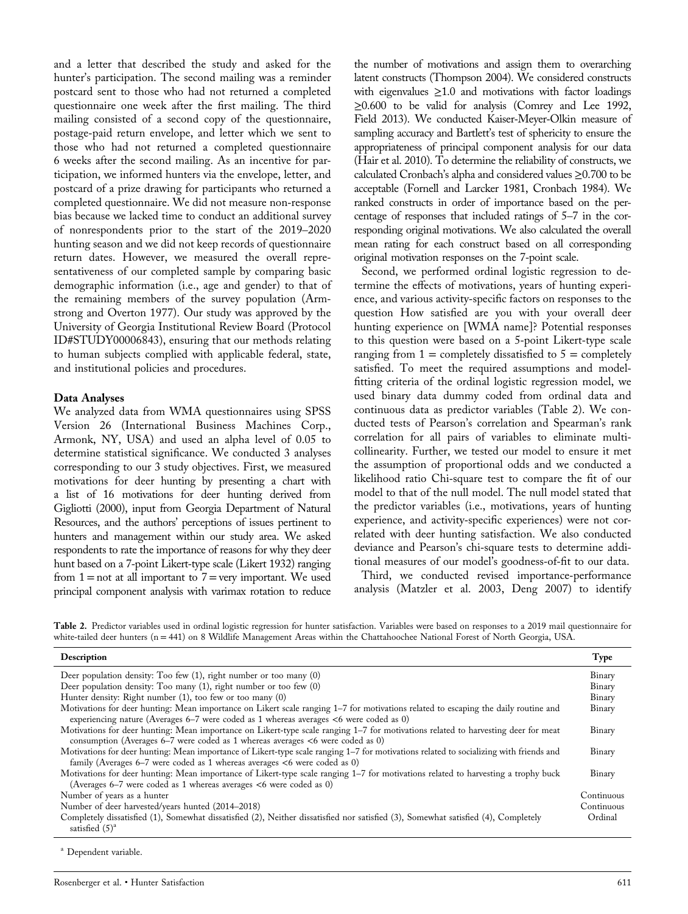and a letter that described the study and asked for the hunter's participation. The second mailing was a reminder postcard sent to those who had not returned a completed questionnaire one week after the first mailing. The third mailing consisted of a second copy of the questionnaire, postage‐paid return envelope, and letter which we sent to those who had not returned a completed questionnaire 6 weeks after the second mailing. As an incentive for participation, we informed hunters via the envelope, letter, and postcard of a prize drawing for participants who returned a completed questionnaire. We did not measure non‐response bias because we lacked time to conduct an additional survey of nonrespondents prior to the start of the 2019–2020 hunting season and we did not keep records of questionnaire return dates. However, we measured the overall representativeness of our completed sample by comparing basic demographic information (i.e., age and gender) to that of the remaining members of the survey population (Armstrong and Overton 1977). Our study was approved by the University of Georgia Institutional Review Board (Protocol ID#STUDY00006843), ensuring that our methods relating to human subjects complied with applicable federal, state, and institutional policies and procedures.

#### Data Analyses

We analyzed data from WMA questionnaires using SPSS Version 26 (International Business Machines Corp., Armonk, NY, USA) and used an alpha level of 0.05 to determine statistical significance. We conducted 3 analyses corresponding to our 3 study objectives. First, we measured motivations for deer hunting by presenting a chart with a list of 16 motivations for deer hunting derived from Gigliotti (2000), input from Georgia Department of Natural Resources, and the authors' perceptions of issues pertinent to hunters and management within our study area. We asked respondents to rate the importance of reasons for why they deer hunt based on a 7‐point Likert‐type scale (Likert 1932) ranging from  $1 = not$  at all important to  $7 = very$  important. We used principal component analysis with varimax rotation to reduce

the number of motivations and assign them to overarching latent constructs (Thompson 2004). We considered constructs with eigenvalues  $\geq 1.0$  and motivations with factor loadings ≥0.600 to be valid for analysis (Comrey and Lee 1992, Field 2013). We conducted Kaiser‐Meyer‐Olkin measure of sampling accuracy and Bartlett's test of sphericity to ensure the appropriateness of principal component analysis for our data (Hair et al. 2010). To determine the reliability of constructs, we calculated Cronbach's alpha and considered values ≥0.700 to be acceptable (Fornell and Larcker 1981, Cronbach 1984). We ranked constructs in order of importance based on the percentage of responses that included ratings of 5–7 in the corresponding original motivations. We also calculated the overall mean rating for each construct based on all corresponding original motivation responses on the 7‐point scale.

Second, we performed ordinal logistic regression to determine the effects of motivations, years of hunting experience, and various activity‐specific factors on responses to the question How satisfied are you with your overall deer hunting experience on [WMA name]? Potential responses to this question were based on a 5‐point Likert‐type scale ranging from  $1 =$  completely dissatisfied to  $5 =$  completely satisfied. To meet the required assumptions and modelfitting criteria of the ordinal logistic regression model, we used binary data dummy coded from ordinal data and continuous data as predictor variables (Table 2). We conducted tests of Pearson's correlation and Spearman's rank correlation for all pairs of variables to eliminate multicollinearity. Further, we tested our model to ensure it met the assumption of proportional odds and we conducted a likelihood ratio Chi‐square test to compare the fit of our model to that of the null model. The null model stated that the predictor variables (i.e., motivations, years of hunting experience, and activity‐specific experiences) were not correlated with deer hunting satisfaction. We also conducted deviance and Pearson's chi‐square tests to determine additional measures of our model's goodness‐of‐fit to our data.

Third, we conducted revised importance‐performance analysis (Matzler et al. 2003, Deng 2007) to identify

Table 2. Predictor variables used in ordinal logistic regression for hunter satisfaction. Variables were based on responses to a 2019 mail questionnaire for white-tailed deer hunters (n = 441) on 8 Wildlife Management Areas within the Chattahoochee National Forest of North Georgia, USA.

| Description                                                                                                                                                                                                                   | Type       |
|-------------------------------------------------------------------------------------------------------------------------------------------------------------------------------------------------------------------------------|------------|
| Deer population density: Too few $(1)$ , right number or too many $(0)$                                                                                                                                                       | Binary     |
| Deer population density: Too many (1), right number or too few (0)                                                                                                                                                            | Binary     |
| Hunter density: Right number (1), too few or too many (0)                                                                                                                                                                     | Binary     |
| Motivations for deer hunting: Mean importance on Likert scale ranging 1-7 for motivations related to escaping the daily routine and<br>experiencing nature (Averages 6–7 were coded as 1 whereas averages <6 were coded as 0) | Binary     |
| Motivations for deer hunting: Mean importance on Likert-type scale ranging 1–7 for motivations related to harvesting deer for meat<br>consumption (Averages 6–7 were coded as 1 whereas averages <6 were coded as 0)          | Binary     |
| Motivations for deer hunting: Mean importance of Likert-type scale ranging 1–7 for motivations related to socializing with friends and<br>family (Averages 6–7 were coded as 1 whereas averages $<6$ were coded as 0)         | Binary     |
| Motivations for deer hunting: Mean importance of Likert-type scale ranging 1–7 for motivations related to harvesting a trophy buck<br>(Averages 6–7 were coded as 1 whereas averages $\lt 6$ were coded as 0)                 | Binary     |
| Number of years as a hunter                                                                                                                                                                                                   | Continuous |
| Number of deer harvested/years hunted (2014–2018)                                                                                                                                                                             | Continuous |
| Completely dissatisfied (1), Somewhat dissatisfied (2), Neither dissatisfied nor satisfied (3), Somewhat satisfied (4), Completely<br>satisfied $(5)^a$                                                                       | Ordinal    |

<sup>a</sup> Dependent variable.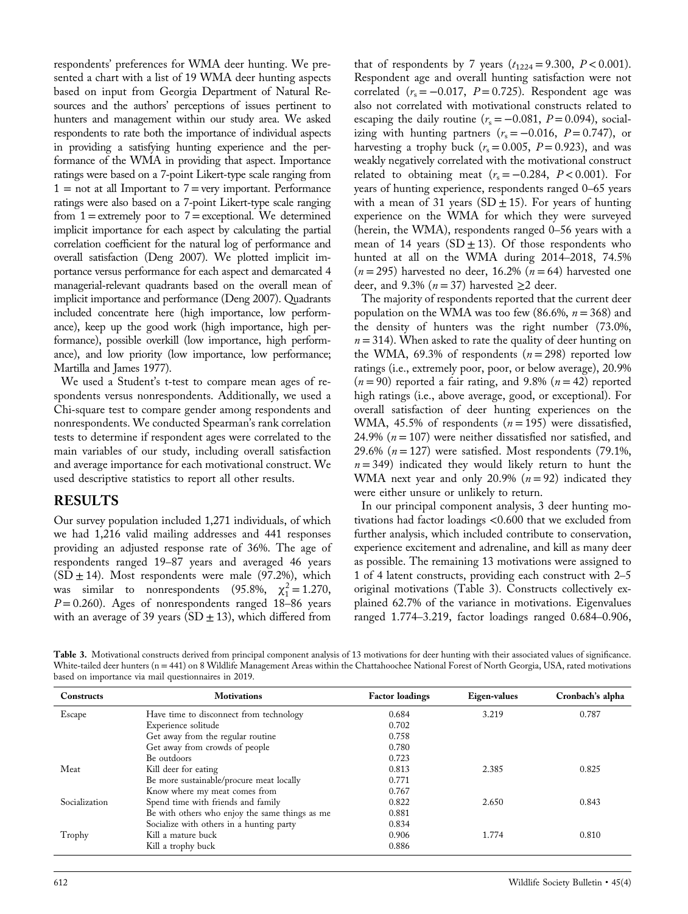respondents' preferences for WMA deer hunting. We presented a chart with a list of 19 WMA deer hunting aspects based on input from Georgia Department of Natural Resources and the authors' perceptions of issues pertinent to hunters and management within our study area. We asked respondents to rate both the importance of individual aspects in providing a satisfying hunting experience and the performance of the WMA in providing that aspect. Importance ratings were based on a 7‐point Likert‐type scale ranging from  $1 =$  not at all Important to  $7 =$  very important. Performance ratings were also based on a 7‐point Likert‐type scale ranging from  $1 =$  extremely poor to  $7 =$  exceptional. We determined implicit importance for each aspect by calculating the partial correlation coefficient for the natural log of performance and overall satisfaction (Deng 2007). We plotted implicit importance versus performance for each aspect and demarcated 4 managerial‐relevant quadrants based on the overall mean of implicit importance and performance (Deng 2007). Quadrants included concentrate here (high importance, low performance), keep up the good work (high importance, high performance), possible overkill (low importance, high performance), and low priority (low importance, low performance; Martilla and James 1977).

We used a Student's t-test to compare mean ages of respondents versus nonrespondents. Additionally, we used a Chi‐square test to compare gender among respondents and nonrespondents. We conducted Spearman's rank correlation tests to determine if respondent ages were correlated to the main variables of our study, including overall satisfaction and average importance for each motivational construct. We used descriptive statistics to report all other results.

#### RESULTS

Our survey population included 1,271 individuals, of which we had 1,216 valid mailing addresses and 441 responses providing an adjusted response rate of 36%. The age of respondents ranged 19–87 years and averaged 46 years  $(SD \pm 14)$ . Most respondents were male (97.2%), which was similar to nonrespondents (95.8%,  $\chi_1^2 = 1.270$ ,  $P = 0.260$ ). Ages of nonrespondents ranged 18-86 years with an average of 39 years (SD  $\pm$  13), which differed from

that of respondents by 7 years  $(t_{1224} = 9.300, P < 0.001)$ . Respondent age and overall hunting satisfaction were not correlated ( $r_s = -0.017$ ,  $P = 0.725$ ). Respondent age was also not correlated with motivational constructs related to escaping the daily routine ( $r_s = -0.081$ ,  $P = 0.094$ ), socializing with hunting partners  $(r<sub>s</sub> = -0.016, P = 0.747)$ , or harvesting a trophy buck ( $r_s = 0.005$ ,  $P = 0.923$ ), and was weakly negatively correlated with the motivational construct related to obtaining meat ( $r_s = -0.284$ ,  $P < 0.001$ ). For years of hunting experience, respondents ranged 0–65 years with a mean of 31 years (SD  $\pm$  15). For years of hunting experience on the WMA for which they were surveyed (herein, the WMA), respondents ranged 0–56 years with a mean of 14 years ( $SD \pm 13$ ). Of those respondents who hunted at all on the WMA during 2014–2018, 74.5%  $(n=295)$  harvested no deer, 16.2%  $(n=64)$  harvested one deer, and 9.3% ( $n = 37$ ) harvested  $\geq 2$  deer.

The majority of respondents reported that the current deer population on the WMA was too few (86.6%,  $n = 368$ ) and the density of hunters was the right number (73.0%,  $n = 314$ ). When asked to rate the quality of deer hunting on the WMA, 69.3% of respondents  $(n = 298)$  reported low ratings (i.e., extremely poor, poor, or below average), 20.9%  $(n = 90)$  reported a fair rating, and 9.8%  $(n = 42)$  reported high ratings (i.e., above average, good, or exceptional). For overall satisfaction of deer hunting experiences on the WMA, 45.5% of respondents  $(n = 195)$  were dissatisfied, 24.9% ( $n = 107$ ) were neither dissatisfied nor satisfied, and 29.6% ( $n = 127$ ) were satisfied. Most respondents (79.1%,  $n = 349$ ) indicated they would likely return to hunt the WMA next year and only 20.9% ( $n = 92$ ) indicated they were either unsure or unlikely to return.

In our principal component analysis, 3 deer hunting motivations had factor loadings <0.600 that we excluded from further analysis, which included contribute to conservation, experience excitement and adrenaline, and kill as many deer as possible. The remaining 13 motivations were assigned to 1 of 4 latent constructs, providing each construct with 2–5 original motivations (Table 3). Constructs collectively explained 62.7% of the variance in motivations. Eigenvalues ranged 1.774–3.219, factor loadings ranged 0.684–0.906,

Table 3. Motivational constructs derived from principal component analysis of 13 motivations for deer hunting with their associated values of significance. White-tailed deer hunters (n = 441) on 8 Wildlife Management Areas within the Chattahoochee National Forest of North Georgia, USA, rated motivations based on importance via mail questionnaires in 2019.

| <b>Constructs</b> | <b>Motivations</b>                             | <b>Factor loadings</b> | Eigen-values | Cronbach's alpha |
|-------------------|------------------------------------------------|------------------------|--------------|------------------|
| Escape            | Have time to disconnect from technology        | 0.684                  | 3.219        | 0.787            |
|                   | Experience solitude                            | 0.702                  |              |                  |
|                   | Get away from the regular routine              | 0.758                  |              |                  |
|                   | Get away from crowds of people                 | 0.780                  |              |                  |
|                   | Be outdoors                                    | 0.723                  |              |                  |
| Meat              | Kill deer for eating                           | 0.813                  | 2.385        | 0.825            |
|                   | Be more sustainable/procure meat locally       | 0.771                  |              |                  |
|                   | Know where my meat comes from                  | 0.767                  |              |                  |
| Socialization     | Spend time with friends and family             | 0.822                  | 2.650        | 0.843            |
|                   | Be with others who enjoy the same things as me | 0.881                  |              |                  |
|                   | Socialize with others in a hunting party       | 0.834                  |              |                  |
| Trophy            | Kill a mature buck                             | 0.906                  | 1.774        | 0.810            |
|                   | Kill a trophy buck                             | 0.886                  |              |                  |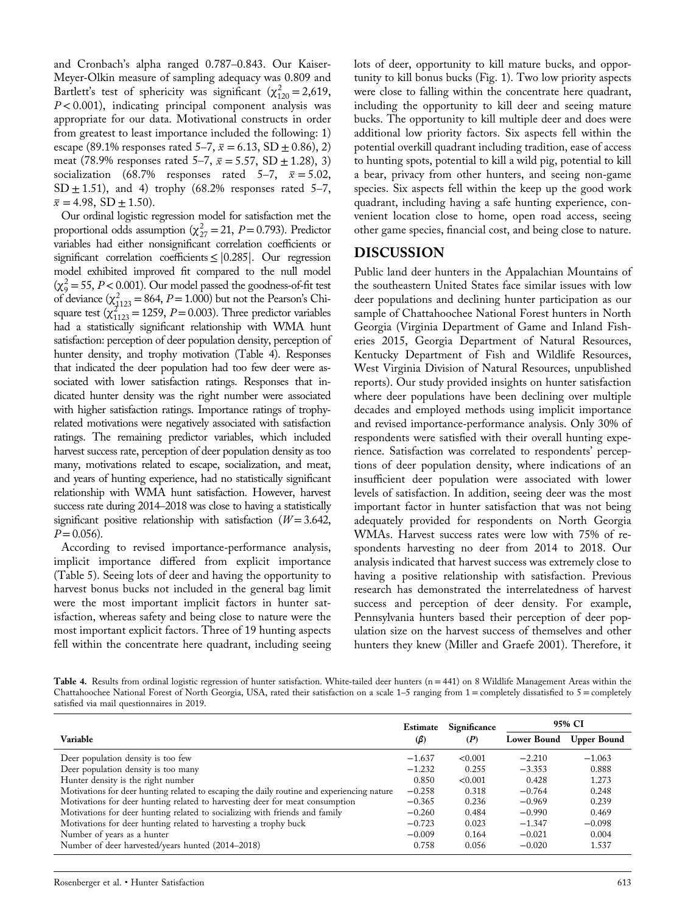and Cronbach's alpha ranged 0.787–0.843. Our Kaiser‐ Meyer‐Olkin measure of sampling adequacy was 0.809 and Bartlett's test of sphericity was significant  $(\chi_{120}^2 = 2,619,$  $P < 0.001$ ), indicating principal component analysis was appropriate for our data. Motivational constructs in order from greatest to least importance included the following: 1) escape (89.1% responses rated 5–7,  $\bar{x}$  = 6.13, SD  $\pm$  0.86), 2) meat (78.9% responses rated 5–7,  $\bar{x} = 5.57$ , SD  $\pm$  1.28), 3) socialization (68.7% responses rated 5–7,  $\bar{x} = 5.02$ ,  $SD \pm 1.51$ , and 4) trophy (68.2% responses rated 5–7,  $\bar{x} = 4.98$ , SD  $\pm$  1.50).

Our ordinal logistic regression model for satisfaction met the proportional odds assumption ( $\chi^2_{27} = 21$ ,  $P = 0.793$ ). Predictor variables had either nonsignificant correlation coefficients or significant correlation coefficients≤|0.285|. Our regression model exhibited improved fit compared to the null model  $(\chi^2 = 55, P < 0.001)$ . Our model passed the goodness-of-fit test of deviance  $(\chi^2_{1123} = 864, P = 1.000)$  but not the Pearson's Chisquare test  $(\chi_{1123}^{2725} = 1259, P = 0.003)$ . Three predictor variables had a statistically significant relationship with WMA hunt satisfaction: perception of deer population density, perception of hunter density, and trophy motivation (Table 4). Responses that indicated the deer population had too few deer were associated with lower satisfaction ratings. Responses that indicated hunter density was the right number were associated with higher satisfaction ratings. Importance ratings of trophyrelated motivations were negatively associated with satisfaction ratings. The remaining predictor variables, which included harvest success rate, perception of deer population density as too many, motivations related to escape, socialization, and meat, and years of hunting experience, had no statistically significant relationship with WMA hunt satisfaction. However, harvest success rate during 2014–2018 was close to having a statistically significant positive relationship with satisfaction  $(W = 3.642)$ ,  $P = 0.056$ ).

According to revised importance‐performance analysis, implicit importance differed from explicit importance (Table 5). Seeing lots of deer and having the opportunity to harvest bonus bucks not included in the general bag limit were the most important implicit factors in hunter satisfaction, whereas safety and being close to nature were the most important explicit factors. Three of 19 hunting aspects fell within the concentrate here quadrant, including seeing

lots of deer, opportunity to kill mature bucks, and opportunity to kill bonus bucks (Fig. 1). Two low priority aspects were close to falling within the concentrate here quadrant, including the opportunity to kill deer and seeing mature bucks. The opportunity to kill multiple deer and does were additional low priority factors. Six aspects fell within the potential overkill quadrant including tradition, ease of access to hunting spots, potential to kill a wild pig, potential to kill a bear, privacy from other hunters, and seeing non‐game species. Six aspects fell within the keep up the good work quadrant, including having a safe hunting experience, convenient location close to home, open road access, seeing other game species, financial cost, and being close to nature.

#### DISCUSSION

Public land deer hunters in the Appalachian Mountains of the southeastern United States face similar issues with low deer populations and declining hunter participation as our sample of Chattahoochee National Forest hunters in North Georgia (Virginia Department of Game and Inland Fisheries 2015, Georgia Department of Natural Resources, Kentucky Department of Fish and Wildlife Resources, West Virginia Division of Natural Resources, unpublished reports). Our study provided insights on hunter satisfaction where deer populations have been declining over multiple decades and employed methods using implicit importance and revised importance‐performance analysis. Only 30% of respondents were satisfied with their overall hunting experience. Satisfaction was correlated to respondents' perceptions of deer population density, where indications of an insufficient deer population were associated with lower levels of satisfaction. In addition, seeing deer was the most important factor in hunter satisfaction that was not being adequately provided for respondents on North Georgia WMAs. Harvest success rates were low with 75% of respondents harvesting no deer from 2014 to 2018. Our analysis indicated that harvest success was extremely close to having a positive relationship with satisfaction. Previous research has demonstrated the interrelatedness of harvest success and perception of deer density. For example, Pennsylvania hunters based their perception of deer population size on the harvest success of themselves and other hunters they knew (Miller and Graefe 2001). Therefore, it

Table 4. Results from ordinal logistic regression of hunter satisfaction. White-tailed deer hunters (n = 441) on 8 Wildlife Management Areas within the Chattahoochee National Forest of North Georgia, USA, rated their satisfaction on a scale 1–5 ranging from 1 = completely dissatisfied to 5 = completely satisfied via mail questionnaires in 2019.

|                                                                                            |           | Significance | 95% CI             |                    |
|--------------------------------------------------------------------------------------------|-----------|--------------|--------------------|--------------------|
| Variable                                                                                   | $(\beta)$ | (P)          | <b>Lower Bound</b> | <b>Upper Bound</b> |
| Deer population density is too few                                                         | $-1.637$  | < 0.001      | $-2.210$           | $-1.063$           |
| Deer population density is too many                                                        | $-1.232$  | 0.255        | $-3.353$           | 0.888              |
| Hunter density is the right number                                                         |           | < 0.001      | 0.428              | 1.273              |
| Motivations for deer hunting related to escaping the daily routine and experiencing nature |           | 0.318        | $-0.764$           | 0.248              |
| Motivations for deer hunting related to harvesting deer for meat consumption               |           | 0.236        | $-0.969$           | 0.239              |
| Motivations for deer hunting related to socializing with friends and family                | $-0.260$  | 0.484        | $-0.990$           | 0.469              |
| Motivations for deer hunting related to harvesting a trophy buck                           | $-0.723$  | 0.023        | $-1.347$           | $-0.098$           |
| Number of years as a hunter                                                                | $-0.009$  | 0.164        | $-0.021$           | 0.004              |
| Number of deer harvested/years hunted (2014–2018)                                          |           | 0.056        | $-0.020$           | 1.537              |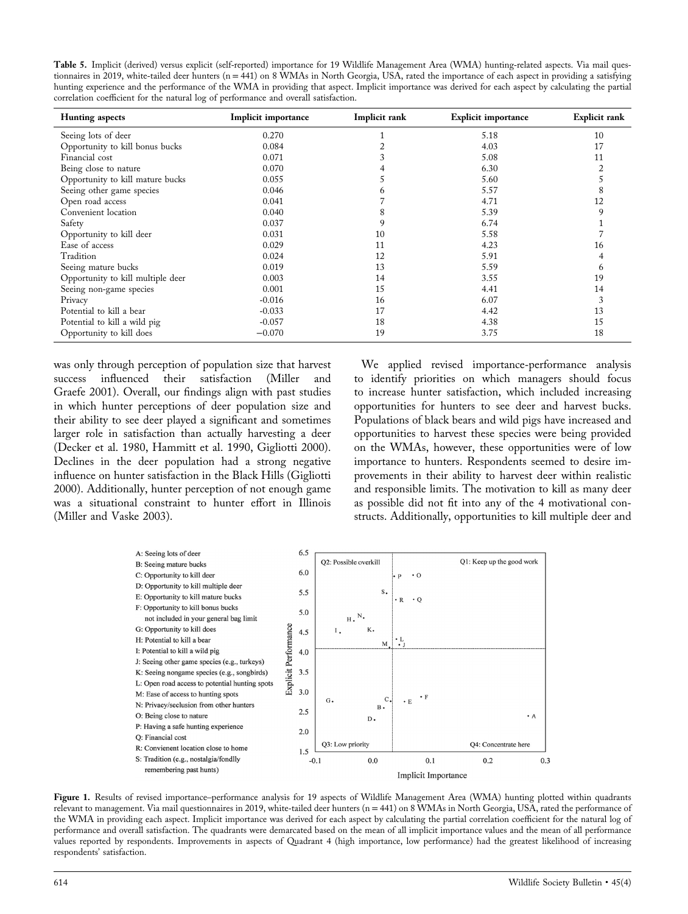Table 5. Implicit (derived) versus explicit (self-reported) importance for 19 Wildlife Management Area (WMA) hunting-related aspects. Via mail questionnaires in 2019, white-tailed deer hunters (n = 441) on 8 WMAs in North Georgia, USA, rated the importance of each aspect in providing a satisfying hunting experience and the performance of the WMA in providing that aspect. Implicit importance was derived for each aspect by calculating the partial correlation coefficient for the natural log of performance and overall satisfaction.

| <b>Hunting</b> aspects            | Implicit importance | Implicit rank | <b>Explicit importance</b> | <b>Explicit rank</b> |
|-----------------------------------|---------------------|---------------|----------------------------|----------------------|
| Seeing lots of deer               | 0.270               |               | 5.18                       | 10                   |
| Opportunity to kill bonus bucks   | 0.084               |               | 4.03                       | 17                   |
| Financial cost                    | 0.071               |               | 5.08                       | 11                   |
| Being close to nature             | 0.070               |               | 6.30                       |                      |
| Opportunity to kill mature bucks  | 0.055               |               | 5.60                       |                      |
| Seeing other game species         | 0.046               | <sub>b</sub>  | 5.57                       |                      |
| Open road access                  | 0.041               |               | 4.71                       | 12                   |
| Convenient location               | 0.040               | 8             | 5.39                       | 9                    |
| Safety                            | 0.037               | 9             | 6.74                       |                      |
| Opportunity to kill deer          | 0.031               | 10            | 5.58                       |                      |
| Ease of access                    | 0.029               | 11            | 4.23                       | 16                   |
| Tradition                         | 0.024               | 12            | 5.91                       |                      |
| Seeing mature bucks               | 0.019               | 13            | 5.59                       | n                    |
| Opportunity to kill multiple deer | 0.003               | 14            | 3.55                       | 19                   |
| Seeing non-game species           | 0.001               | 15            | 4.41                       | 14                   |
| Privacy                           | $-0.016$            | 16            | 6.07                       |                      |
| Potential to kill a bear          | $-0.033$            | 17            | 4.42                       | 13                   |
| Potential to kill a wild pig      | $-0.057$            | 18            | 4.38                       | 15                   |
| Opportunity to kill does          | $-0.070$            | 19            | 3.75                       | 18                   |

was only through perception of population size that harvest success influenced their satisfaction (Miller and Graefe 2001). Overall, our findings align with past studies in which hunter perceptions of deer population size and their ability to see deer played a significant and sometimes larger role in satisfaction than actually harvesting a deer (Decker et al. 1980, Hammitt et al. 1990, Gigliotti 2000). Declines in the deer population had a strong negative influence on hunter satisfaction in the Black Hills (Gigliotti 2000). Additionally, hunter perception of not enough game was a situational constraint to hunter effort in Illinois (Miller and Vaske 2003).

We applied revised importance-performance analysis to identify priorities on which managers should focus to increase hunter satisfaction, which included increasing opportunities for hunters to see deer and harvest bucks. Populations of black bears and wild pigs have increased and opportunities to harvest these species were being provided on the WMAs, however, these opportunities were of low importance to hunters. Respondents seemed to desire improvements in their ability to harvest deer within realistic and responsible limits. The motivation to kill as many deer as possible did not fit into any of the 4 motivational constructs. Additionally, opportunities to kill multiple deer and



Figure 1. Results of revised importance-performance analysis for 19 aspects of Wildlife Management Area (WMA) hunting plotted within quadrants relevant to management. Via mail questionnaires in 2019, white‐tailed deer hunters (n = 441) on 8 WMAs in North Georgia, USA, rated the performance of the WMA in providing each aspect. Implicit importance was derived for each aspect by calculating the partial correlation coefficient for the natural log of performance and overall satisfaction. The quadrants were demarcated based on the mean of all implicit importance values and the mean of all performance values reported by respondents. Improvements in aspects of Quadrant 4 (high importance, low performance) had the greatest likelihood of increasing respondents' satisfaction.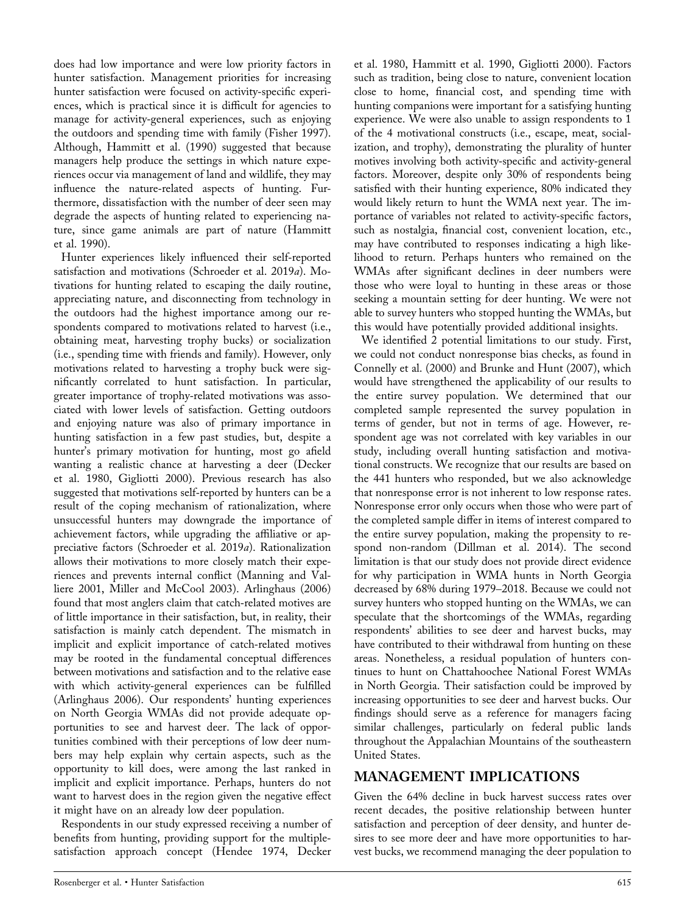does had low importance and were low priority factors in hunter satisfaction. Management priorities for increasing hunter satisfaction were focused on activity-specific experiences, which is practical since it is difficult for agencies to manage for activity‐general experiences, such as enjoying the outdoors and spending time with family (Fisher 1997). Although, Hammitt et al. (1990) suggested that because managers help produce the settings in which nature experiences occur via management of land and wildlife, they may influence the nature‐related aspects of hunting. Furthermore, dissatisfaction with the number of deer seen may degrade the aspects of hunting related to experiencing nature, since game animals are part of nature (Hammitt et al. 1990).

Hunter experiences likely influenced their self-reported satisfaction and motivations (Schroeder et al. 2019a). Motivations for hunting related to escaping the daily routine, appreciating nature, and disconnecting from technology in the outdoors had the highest importance among our respondents compared to motivations related to harvest (i.e., obtaining meat, harvesting trophy bucks) or socialization (i.e., spending time with friends and family). However, only motivations related to harvesting a trophy buck were significantly correlated to hunt satisfaction. In particular, greater importance of trophy‐related motivations was associated with lower levels of satisfaction. Getting outdoors and enjoying nature was also of primary importance in hunting satisfaction in a few past studies, but, despite a hunter's primary motivation for hunting, most go afield wanting a realistic chance at harvesting a deer (Decker et al. 1980, Gigliotti 2000). Previous research has also suggested that motivations self‐reported by hunters can be a result of the coping mechanism of rationalization, where unsuccessful hunters may downgrade the importance of achievement factors, while upgrading the affiliative or appreciative factors (Schroeder et al. 2019a). Rationalization allows their motivations to more closely match their experiences and prevents internal conflict (Manning and Valliere 2001, Miller and McCool 2003). Arlinghaus (2006) found that most anglers claim that catch‐related motives are of little importance in their satisfaction, but, in reality, their satisfaction is mainly catch dependent. The mismatch in implicit and explicit importance of catch-related motives may be rooted in the fundamental conceptual differences between motivations and satisfaction and to the relative ease with which activity‐general experiences can be fulfilled (Arlinghaus 2006). Our respondents' hunting experiences on North Georgia WMAs did not provide adequate opportunities to see and harvest deer. The lack of opportunities combined with their perceptions of low deer numbers may help explain why certain aspects, such as the opportunity to kill does, were among the last ranked in implicit and explicit importance. Perhaps, hunters do not want to harvest does in the region given the negative effect it might have on an already low deer population.

Respondents in our study expressed receiving a number of benefits from hunting, providing support for the multiple‐ satisfaction approach concept (Hendee 1974, Decker et al. 1980, Hammitt et al. 1990, Gigliotti 2000). Factors such as tradition, being close to nature, convenient location close to home, financial cost, and spending time with hunting companions were important for a satisfying hunting experience. We were also unable to assign respondents to 1 of the 4 motivational constructs (i.e., escape, meat, socialization, and trophy), demonstrating the plurality of hunter motives involving both activity‐specific and activity‐general factors. Moreover, despite only 30% of respondents being satisfied with their hunting experience, 80% indicated they would likely return to hunt the WMA next year. The importance of variables not related to activity‐specific factors, such as nostalgia, financial cost, convenient location, etc., may have contributed to responses indicating a high likelihood to return. Perhaps hunters who remained on the WMAs after significant declines in deer numbers were those who were loyal to hunting in these areas or those seeking a mountain setting for deer hunting. We were not able to survey hunters who stopped hunting the WMAs, but this would have potentially provided additional insights.

We identified 2 potential limitations to our study. First, we could not conduct nonresponse bias checks, as found in Connelly et al. (2000) and Brunke and Hunt (2007), which would have strengthened the applicability of our results to the entire survey population. We determined that our completed sample represented the survey population in terms of gender, but not in terms of age. However, respondent age was not correlated with key variables in our study, including overall hunting satisfaction and motivational constructs. We recognize that our results are based on the 441 hunters who responded, but we also acknowledge that nonresponse error is not inherent to low response rates. Nonresponse error only occurs when those who were part of the completed sample differ in items of interest compared to the entire survey population, making the propensity to respond non‐random (Dillman et al. 2014). The second limitation is that our study does not provide direct evidence for why participation in WMA hunts in North Georgia decreased by 68% during 1979–2018. Because we could not survey hunters who stopped hunting on the WMAs, we can speculate that the shortcomings of the WMAs, regarding respondents' abilities to see deer and harvest bucks, may have contributed to their withdrawal from hunting on these areas. Nonetheless, a residual population of hunters continues to hunt on Chattahoochee National Forest WMAs in North Georgia. Their satisfaction could be improved by increasing opportunities to see deer and harvest bucks. Our findings should serve as a reference for managers facing similar challenges, particularly on federal public lands throughout the Appalachian Mountains of the southeastern United States.

## MANAGEMENT IMPLICATIONS

Given the 64% decline in buck harvest success rates over recent decades, the positive relationship between hunter satisfaction and perception of deer density, and hunter desires to see more deer and have more opportunities to harvest bucks, we recommend managing the deer population to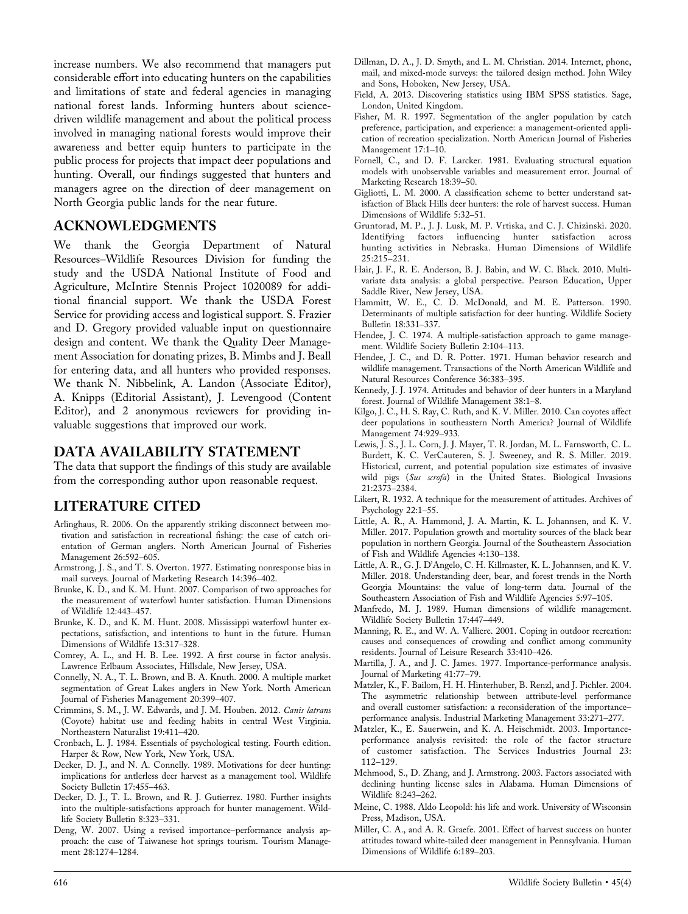increase numbers. We also recommend that managers put considerable effort into educating hunters on the capabilities and limitations of state and federal agencies in managing national forest lands. Informing hunters about science‐ driven wildlife management and about the political process involved in managing national forests would improve their awareness and better equip hunters to participate in the public process for projects that impact deer populations and hunting. Overall, our findings suggested that hunters and managers agree on the direction of deer management on North Georgia public lands for the near future.

#### ACKNOWLEDGMENTS

We thank the Georgia Department of Natural Resources–Wildlife Resources Division for funding the study and the USDA National Institute of Food and Agriculture, McIntire Stennis Project 1020089 for additional financial support. We thank the USDA Forest Service for providing access and logistical support. S. Frazier and D. Gregory provided valuable input on questionnaire design and content. We thank the Quality Deer Management Association for donating prizes, B. Mimbs and J. Beall for entering data, and all hunters who provided responses. We thank N. Nibbelink, A. Landon (Associate Editor), A. Knipps (Editorial Assistant), J. Levengood (Content Editor), and 2 anonymous reviewers for providing invaluable suggestions that improved our work.

#### DATA AVAILABILITY STATEMENT

The data that support the findings of this study are available from the corresponding author upon reasonable request.

## LITERATURE CITED

- Arlinghaus, R. 2006. On the apparently striking disconnect between motivation and satisfaction in recreational fishing: the case of catch orientation of German anglers. North American Journal of Fisheries Management 26:592–605.
- Armstrong, J. S., and T. S. Overton. 1977. Estimating nonresponse bias in mail surveys. Journal of Marketing Research 14:396–402.
- Brunke, K. D., and K. M. Hunt. 2007. Comparison of two approaches for the measurement of waterfowl hunter satisfaction. Human Dimensions of Wildlife 12:443–457.
- Brunke, K. D., and K. M. Hunt. 2008. Mississippi waterfowl hunter expectations, satisfaction, and intentions to hunt in the future. Human Dimensions of Wildlife 13:317–328.
- Comrey, A. L., and H. B. Lee. 1992. A first course in factor analysis. Lawrence Erlbaum Associates, Hillsdale, New Jersey, USA.
- Connelly, N. A., T. L. Brown, and B. A. Knuth. 2000. A multiple market segmentation of Great Lakes anglers in New York. North American Journal of Fisheries Management 20:399–407.
- Crimmins, S. M., J. W. Edwards, and J. M. Houben. 2012. Canis latrans (Coyote) habitat use and feeding habits in central West Virginia. Northeastern Naturalist 19:411–420.
- Cronbach, L. J. 1984. Essentials of psychological testing. Fourth edition. Harper & Row, New York, New York, USA.
- Decker, D. J., and N. A. Connelly. 1989. Motivations for deer hunting: implications for antlerless deer harvest as a management tool. Wildlife Society Bulletin 17:455–463.
- Decker, D. J., T. L. Brown, and R. J. Gutierrez. 1980. Further insights into the multiple‐satisfactions approach for hunter management. Wildlife Society Bulletin 8:323–331.
- Deng, W. 2007. Using a revised importance–performance analysis approach: the case of Taiwanese hot springs tourism. Tourism Management 28:1274-1284.
- Dillman, D. A., J. D. Smyth, and L. M. Christian. 2014. Internet, phone, mail, and mixed‐mode surveys: the tailored design method. John Wiley and Sons, Hoboken, New Jersey, USA.
- Field, A. 2013. Discovering statistics using IBM SPSS statistics. Sage, London, United Kingdom.
- Fisher, M. R. 1997. Segmentation of the angler population by catch preference, participation, and experience: a management‐oriented application of recreation specialization. North American Journal of Fisheries Management 17:1-10.
- Fornell, C., and D. F. Larcker. 1981. Evaluating structural equation models with unobservable variables and measurement error. Journal of Marketing Research 18:39–50.
- Gigliotti, L. M. 2000. A classification scheme to better understand satisfaction of Black Hills deer hunters: the role of harvest success. Human Dimensions of Wildlife 5:32–51.
- Gruntorad, M. P., J. J. Lusk, M. P. Vrtiska, and C. J. Chizinski. 2020. Identifying factors influencing hunter satisfaction across hunting activities in Nebraska. Human Dimensions of Wildlife 25:215–231.
- Hair, J. F., R. E. Anderson, B. J. Babin, and W. C. Black. 2010. Multivariate data analysis: a global perspective. Pearson Education, Upper Saddle River, New Jersey, USA.
- Hammitt, W. E., C. D. McDonald, and M. E. Patterson. 1990. Determinants of multiple satisfaction for deer hunting. Wildlife Society Bulletin 18:331–337.
- Hendee, J. C. 1974. A multiple-satisfaction approach to game management. Wildlife Society Bulletin 2:104–113.
- Hendee, J. C., and D. R. Potter. 1971. Human behavior research and wildlife management. Transactions of the North American Wildlife and Natural Resources Conference 36:383–395.
- Kennedy, J. J. 1974. Attitudes and behavior of deer hunters in a Maryland forest. Journal of Wildlife Management 38:1–8.
- Kilgo, J. C., H. S. Ray, C. Ruth, and K. V. Miller. 2010. Can coyotes affect deer populations in southeastern North America? Journal of Wildlife Management 74:929–933.
- Lewis, J. S., J. L. Corn, J. J. Mayer, T. R. Jordan, M. L. Farnsworth, C. L. Burdett, K. C. VerCauteren, S. J. Sweeney, and R. S. Miller. 2019. Historical, current, and potential population size estimates of invasive wild pigs (Sus scrofa) in the United States. Biological Invasions 21:2373–2384.
- Likert, R. 1932. A technique for the measurement of attitudes. Archives of Psychology 22:1–55.
- Little, A. R., A. Hammond, J. A. Martin, K. L. Johannsen, and K. V. Miller. 2017. Population growth and mortality sources of the black bear population in northern Georgia. Journal of the Southeastern Association of Fish and Wildlife Agencies 4:130–138.
- Little, A. R., G. J. D'Angelo, C. H. Killmaster, K. L. Johannsen, and K. V. Miller. 2018. Understanding deer, bear, and forest trends in the North Georgia Mountains: the value of long‐term data. Journal of the Southeastern Association of Fish and Wildlife Agencies 5:97–105.
- Manfredo, M. J. 1989. Human dimensions of wildlife management. Wildlife Society Bulletin 17:447–449.
- Manning, R. E., and W. A. Valliere. 2001. Coping in outdoor recreation: causes and consequences of crowding and conflict among community residents. Journal of Leisure Research 33:410–426.
- Martilla, J. A., and J. C. James. 1977. Importance-performance analysis. Journal of Marketing 41:77–79.
- Matzler, K., F. Bailom, H. H. Hinterhuber, B. Renzl, and J. Pichler. 2004. The asymmetric relationship between attribute‐level performance and overall customer satisfaction: a reconsideration of the importance– performance analysis. Industrial Marketing Management 33:271–277.
- Matzler, K., E. Sauerwein, and K. A. Heischmidt. 2003. Importance‐ performance analysis revisited: the role of the factor structure of customer satisfaction. The Services Industries Journal 23: 112–129.
- Mehmood, S., D. Zhang, and J. Armstrong. 2003. Factors associated with declining hunting license sales in Alabama. Human Dimensions of Wildlife 8:243–262.
- Meine, C. 1988. Aldo Leopold: his life and work. University of Wisconsin Press, Madison, USA.
- Miller, C. A., and A. R. Graefe. 2001. Effect of harvest success on hunter attitudes toward white‐tailed deer management in Pennsylvania. Human Dimensions of Wildlife 6:189–203.